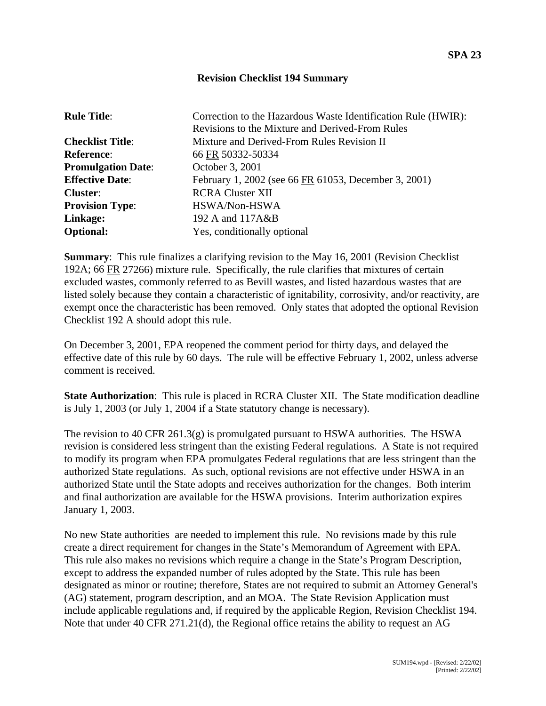## **Revision Checklist 194 Summary**

| <b>Rule Title:</b>        | Correction to the Hazardous Waste Identification Rule (HWIR): |
|---------------------------|---------------------------------------------------------------|
|                           | Revisions to the Mixture and Derived-From Rules               |
| <b>Checklist Title:</b>   | Mixture and Derived-From Rules Revision II                    |
| <b>Reference:</b>         | 66 FR 50332-50334                                             |
| <b>Promulgation Date:</b> | October 3, 2001                                               |
| <b>Effective Date:</b>    | February 1, 2002 (see 66 FR 61053, December 3, 2001)          |
| <b>Cluster:</b>           | <b>RCRA Cluster XII</b>                                       |
| <b>Provision Type:</b>    | HSWA/Non-HSWA                                                 |
| Linkage:                  | 192 A and 117A&B                                              |
| <b>Optional:</b>          | Yes, conditionally optional                                   |

**Summary**: This rule finalizes a clarifying revision to the May 16, 2001 (Revision Checklist 192A; 66 FR 27266) mixture rule. Specifically, the rule clarifies that mixtures of certain excluded wastes, commonly referred to as Bevill wastes, and listed hazardous wastes that are listed solely because they contain a characteristic of ignitability, corrosivity, and/or reactivity, are exempt once the characteristic has been removed. Only states that adopted the optional Revision Checklist 192 A should adopt this rule.

On December 3, 2001, EPA reopened the comment period for thirty days, and delayed the effective date of this rule by 60 days. The rule will be effective February 1, 2002, unless adverse comment is received.

**State Authorization**: This rule is placed in RCRA Cluster XII. The State modification deadline is July 1, 2003 (or July 1, 2004 if a State statutory change is necessary).

The revision to 40 CFR 261.3(g) is promulgated pursuant to HSWA authorities. The HSWA revision is considered less stringent than the existing Federal regulations. A State is not required to modify its program when EPA promulgates Federal regulations that are less stringent than the authorized State regulations. As such, optional revisions are not effective under HSWA in an authorized State until the State adopts and receives authorization for the changes. Both interim and final authorization are available for the HSWA provisions. Interim authorization expires January 1, 2003.

No new State authorities are needed to implement this rule. No revisions made by this rule create a direct requirement for changes in the State's Memorandum of Agreement with EPA. This rule also makes no revisions which require a change in the State's Program Description, except to address the expanded number of rules adopted by the State. This rule has been designated as minor or routine; therefore, States are not required to submit an Attorney General's (AG) statement, program description, and an MOA. The State Revision Application must include applicable regulations and, if required by the applicable Region, Revision Checklist 194. Note that under 40 CFR 271.21(d), the Regional office retains the ability to request an AG